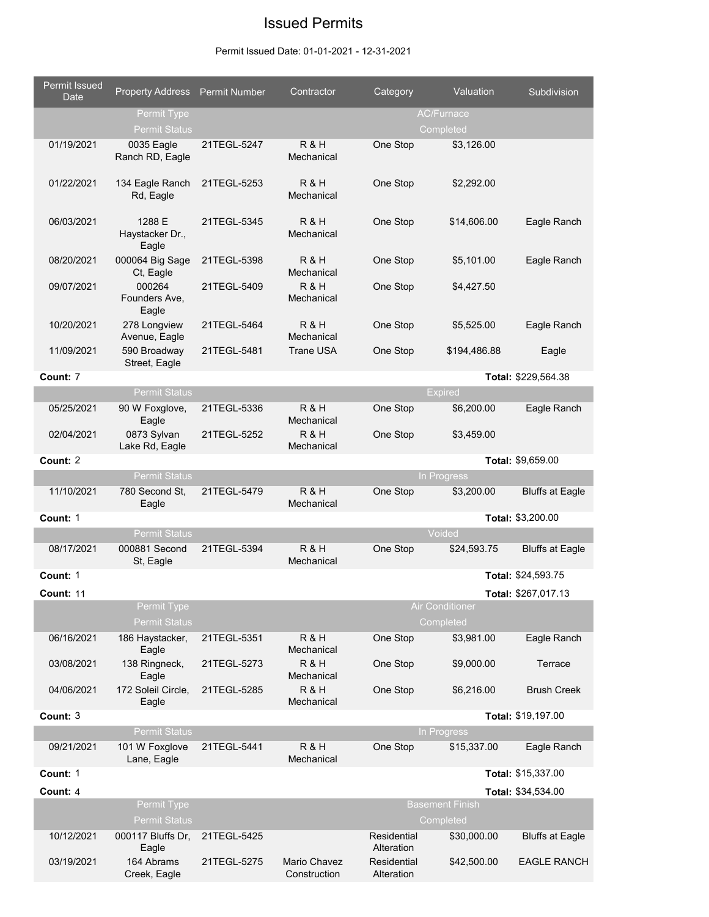## Issued Permits

## Permit Issued Date: 01-01-2021 - 12-31-2021

| Permit Issued<br>Date | Property Address Permit Number      |             | Contractor                   | Category                  | Valuation                           | Subdivision            |
|-----------------------|-------------------------------------|-------------|------------------------------|---------------------------|-------------------------------------|------------------------|
|                       | Permit Type<br><b>Permit Status</b> |             |                              |                           | <b>AC/Furnace</b><br>Completed      |                        |
| 01/19/2021            | 0035 Eagle<br>Ranch RD, Eagle       | 21TEGL-5247 | R & H<br>Mechanical          | One Stop                  | \$3,126.00                          |                        |
| 01/22/2021            | 134 Eagle Ranch<br>Rd, Eagle        | 21TEGL-5253 | R & H<br>Mechanical          | One Stop                  | \$2,292.00                          |                        |
| 06/03/2021            | 1288 E<br>Haystacker Dr.,<br>Eagle  | 21TEGL-5345 | R&H<br>Mechanical            | One Stop                  | \$14,606.00                         | Eagle Ranch            |
| 08/20/2021            | 000064 Big Sage<br>Ct, Eagle        | 21TEGL-5398 | R&H<br>Mechanical            | One Stop                  | \$5,101.00                          | Eagle Ranch            |
| 09/07/2021            | 000264<br>Founders Ave,<br>Eagle    | 21TEGL-5409 | R&H<br>Mechanical            | One Stop                  | \$4,427.50                          |                        |
| 10/20/2021            | 278 Longview<br>Avenue, Eagle       | 21TEGL-5464 | R&H<br>Mechanical            | One Stop                  | \$5,525.00                          | Eagle Ranch            |
| 11/09/2021            | 590 Broadway<br>Street, Eagle       | 21TEGL-5481 | <b>Trane USA</b>             | One Stop                  | \$194,486.88                        | Eagle                  |
| Count: 7              |                                     |             |                              |                           |                                     | Total: \$229,564.38    |
|                       | <b>Permit Status</b>                |             |                              |                           | <b>Expired</b>                      |                        |
| 05/25/2021            | 90 W Foxglove,<br>Eagle             | 21TEGL-5336 | R&H<br>Mechanical            | One Stop                  | \$6,200.00                          | Eagle Ranch            |
| 02/04/2021            | 0873 Sylvan<br>Lake Rd, Eagle       | 21TEGL-5252 | R&H<br>Mechanical            | One Stop                  | \$3,459.00                          |                        |
| Count: 2              |                                     |             |                              |                           |                                     | Total: \$9,659.00      |
|                       | <b>Permit Status</b>                |             |                              |                           | In Progress                         |                        |
| 11/10/2021            | 780 Second St,<br>Eagle             | 21TEGL-5479 | R&H<br>Mechanical            | One Stop                  | \$3,200.00                          | <b>Bluffs at Eagle</b> |
| Count: 1              |                                     |             |                              |                           |                                     | Total: \$3,200.00      |
|                       | <b>Permit Status</b>                |             |                              |                           | Voided                              |                        |
| 08/17/2021            | 000881 Second<br>St, Eagle          | 21TEGL-5394 | R&H<br>Mechanical            | One Stop                  | \$24,593.75                         | <b>Bluffs at Eagle</b> |
| Count: 1              |                                     |             |                              |                           |                                     | Total: \$24,593.75     |
| Count: 11             |                                     |             |                              |                           |                                     | Total: \$267,017.13    |
|                       | Permit Type<br><b>Permit Status</b> |             |                              |                           | <b>Air Conditioner</b><br>Completed |                        |
| 06/16/2021            | 186 Haystacker,<br>Eagle            | 21TEGL-5351 | R&H<br>Mechanical            | One Stop                  | \$3,981.00                          | Eagle Ranch            |
| 03/08/2021            | 138 Ringneck,<br>Eagle              | 21TEGL-5273 | R&H<br>Mechanical            | One Stop                  | \$9,000.00                          | Terrace                |
| 04/06/2021            | 172 Soleil Circle,<br>Eagle         | 21TEGL-5285 | R&H<br>Mechanical            | One Stop                  | \$6,216.00                          | <b>Brush Creek</b>     |
| Count: 3              |                                     |             |                              |                           |                                     | Total: \$19,197.00     |
|                       | <b>Permit Status</b>                |             |                              |                           | In Progress                         |                        |
| 09/21/2021            | 101 W Foxglove<br>Lane, Eagle       | 21TEGL-5441 | R&H<br>Mechanical            | One Stop                  | \$15,337.00                         | Eagle Ranch            |
| Count: 1              |                                     |             |                              |                           |                                     | Total: \$15,337.00     |
| Count: 4              |                                     |             |                              |                           |                                     | Total: \$34,534.00     |
|                       | Permit Type<br><b>Permit Status</b> |             |                              |                           | <b>Basement Finish</b><br>Completed |                        |
| 10/12/2021            | 000117 Bluffs Dr,                   | 21TEGL-5425 |                              | Residential<br>Alteration | \$30,000.00                         | <b>Bluffs at Eagle</b> |
| 03/19/2021            | Eagle<br>164 Abrams<br>Creek, Eagle | 21TEGL-5275 | Mario Chavez<br>Construction | Residential<br>Alteration | \$42,500.00                         | <b>EAGLE RANCH</b>     |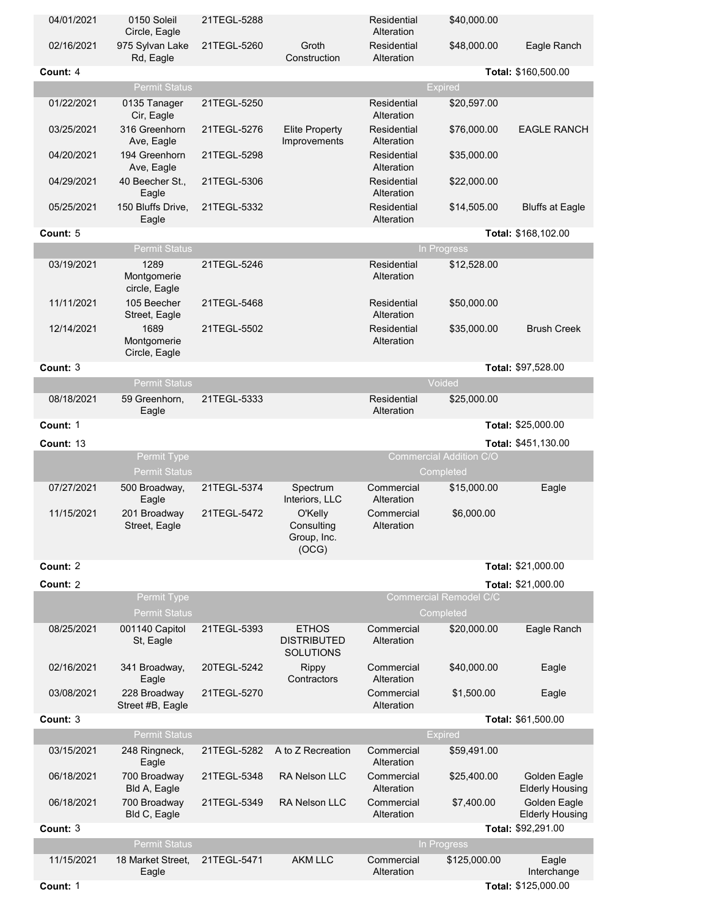| 04/01/2021 | 0150 Soleil<br>Circle, Eagle         | 21TEGL-5288 |                                                        | Residential<br>Alteration | \$40,000.00                                |                                        |
|------------|--------------------------------------|-------------|--------------------------------------------------------|---------------------------|--------------------------------------------|----------------------------------------|
| 02/16/2021 | 975 Sylvan Lake<br>Rd, Eagle         | 21TEGL-5260 | Groth<br>Construction                                  | Residential<br>Alteration | \$48,000.00                                | Eagle Ranch                            |
| Count: 4   |                                      |             |                                                        |                           |                                            | Total: \$160,500.00                    |
|            | <b>Permit Status</b>                 |             |                                                        |                           | <b>Expired</b>                             |                                        |
| 01/22/2021 | 0135 Tanager<br>Cir, Eagle           | 21TEGL-5250 |                                                        | Residential<br>Alteration | \$20,597.00                                |                                        |
| 03/25/2021 | 316 Greenhorn<br>Ave, Eagle          | 21TEGL-5276 | <b>Elite Property</b><br>Improvements                  | Residential<br>Alteration | \$76,000.00                                | <b>EAGLE RANCH</b>                     |
| 04/20/2021 | 194 Greenhorn<br>Ave, Eagle          | 21TEGL-5298 |                                                        | Residential<br>Alteration | \$35,000.00                                |                                        |
| 04/29/2021 | 40 Beecher St.,<br>Eagle             | 21TEGL-5306 |                                                        | Residential<br>Alteration | \$22,000.00                                |                                        |
| 05/25/2021 | 150 Bluffs Drive,<br>Eagle           | 21TEGL-5332 |                                                        | Residential<br>Alteration | \$14,505.00                                | <b>Bluffs at Eagle</b>                 |
| Count: 5   |                                      |             |                                                        |                           |                                            | Total: \$168,102.00                    |
|            | <b>Permit Status</b>                 |             |                                                        |                           | In Progress                                |                                        |
| 03/19/2021 | 1289<br>Montgomerie<br>circle, Eagle | 21TEGL-5246 |                                                        | Residential<br>Alteration | \$12,528.00                                |                                        |
| 11/11/2021 | 105 Beecher<br>Street, Eagle         | 21TEGL-5468 |                                                        | Residential<br>Alteration | \$50,000.00                                |                                        |
| 12/14/2021 | 1689<br>Montgomerie<br>Circle, Eagle | 21TEGL-5502 |                                                        | Residential<br>Alteration | \$35,000.00                                | <b>Brush Creek</b>                     |
| Count: 3   |                                      |             |                                                        |                           |                                            | Total: \$97,528.00                     |
|            | <b>Permit Status</b>                 |             |                                                        |                           | Voided                                     |                                        |
| 08/18/2021 | 59 Greenhorn,<br>Eagle               | 21TEGL-5333 |                                                        | Residential<br>Alteration | \$25,000.00                                |                                        |
| Count: 1   |                                      |             |                                                        |                           |                                            | Total: \$25,000.00                     |
| Count: 13  |                                      |             |                                                        |                           |                                            | Total: \$451,130.00                    |
|            | Permit Type                          |             |                                                        |                           | Commercial Addition C/O                    |                                        |
|            | <b>Permit Status</b>                 |             |                                                        |                           | Completed                                  |                                        |
| 07/27/2021 | 500 Broadway,<br>Eagle               | 21TEGL-5374 | Spectrum<br>Interiors, LLC                             | Commercial<br>Alteration  | \$15,000.00                                | Eagle                                  |
| 11/15/2021 | 201 Broadway<br>Street, Eagle        | 21TEGL-5472 | O'Kelly<br>Consulting<br>Group, Inc.<br>(OCG)          | Commercial<br>Alteration  | \$6,000.00                                 |                                        |
| Count: 2   |                                      |             |                                                        |                           |                                            | Total: \$21,000.00                     |
| Count: 2   |                                      |             |                                                        |                           |                                            | Total: \$21,000.00                     |
|            | Permit Type<br><b>Permit Status</b>  |             |                                                        |                           | <b>Commercial Remodel C/C</b><br>Completed |                                        |
| 08/25/2021 | 001140 Capitol<br>St, Eagle          | 21TEGL-5393 | <b>ETHOS</b><br><b>DISTRIBUTED</b><br><b>SOLUTIONS</b> | Commercial<br>Alteration  | \$20,000.00                                | Eagle Ranch                            |
| 02/16/2021 | 341 Broadway,<br>Eagle               | 20TEGL-5242 | <b>Rippy</b><br>Contractors                            | Commercial<br>Alteration  | \$40,000.00                                | Eagle                                  |
| 03/08/2021 | 228 Broadway<br>Street #B, Eagle     | 21TEGL-5270 |                                                        | Commercial<br>Alteration  | \$1,500.00                                 | Eagle                                  |
| Count: 3   |                                      |             |                                                        |                           |                                            | Total: \$61,500.00                     |
|            | <b>Permit Status</b>                 |             |                                                        |                           | <b>Expired</b>                             |                                        |
| 03/15/2021 | 248 Ringneck,<br>Eagle               | 21TEGL-5282 | A to Z Recreation                                      | Commercial<br>Alteration  | \$59,491.00                                |                                        |
| 06/18/2021 | 700 Broadway<br>Bld A, Eagle         | 21TEGL-5348 | <b>RA Nelson LLC</b>                                   | Commercial<br>Alteration  | \$25,400.00                                | Golden Eagle<br><b>Elderly Housing</b> |
| 06/18/2021 | 700 Broadway<br>Bld C, Eagle         | 21TEGL-5349 | <b>RA Nelson LLC</b>                                   | Commercial<br>Alteration  | \$7,400.00                                 | Golden Eagle<br><b>Elderly Housing</b> |
| Count: 3   | <b>Permit Status</b>                 |             |                                                        |                           | In Progress                                | Total: \$92,291.00                     |
| 11/15/2021 | 18 Market Street,<br>Eagle           | 21TEGL-5471 | <b>AKM LLC</b>                                         | Commercial<br>Alteration  | \$125,000.00                               | Eagle<br>Interchange                   |
| Count: 1   |                                      |             |                                                        |                           |                                            | Total: \$125,000.00                    |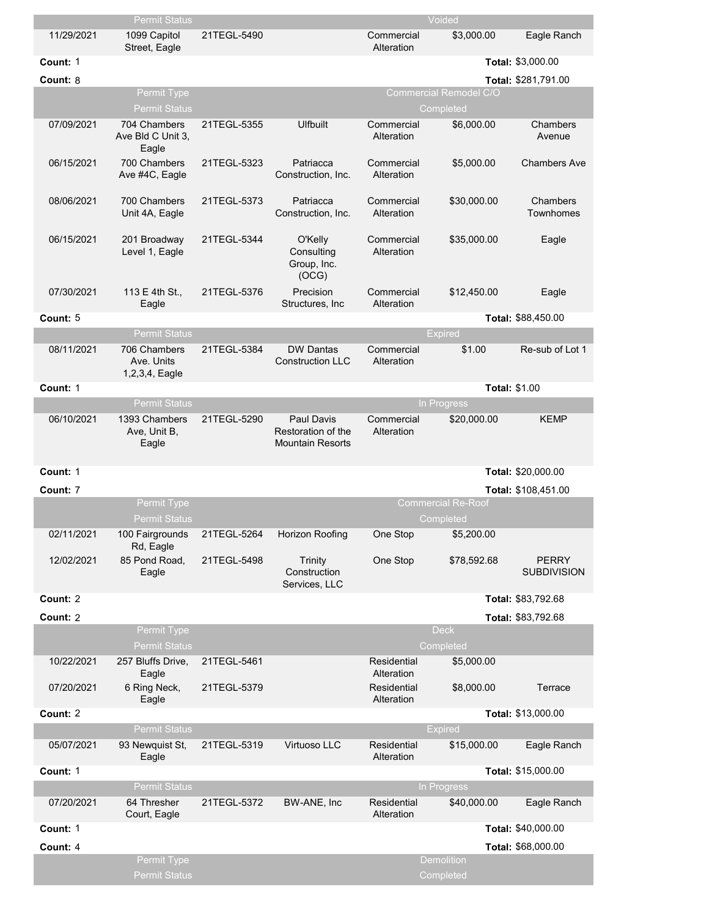|            | Permit Status                                |             |                                                                    |                           | Voided                                 |                                    |
|------------|----------------------------------------------|-------------|--------------------------------------------------------------------|---------------------------|----------------------------------------|------------------------------------|
| 11/29/2021 | 1099 Capitol<br>Street, Eagle                | 21TEGL-5490 |                                                                    | Commercial<br>Alteration  | \$3,000.00                             | Eagle Ranch                        |
| Count: 1   |                                              |             |                                                                    |                           |                                        | Total: \$3,000.00                  |
| Count: 8   |                                              |             |                                                                    |                           |                                        | Total: \$281,791.00                |
|            | Permit Type                                  |             |                                                                    |                           | Commercial Remodel C/O                 |                                    |
|            | <b>Permit Status</b>                         |             |                                                                    |                           | Completed                              |                                    |
| 07/09/2021 | 704 Chambers<br>Ave Bld C Unit 3,<br>Eagle   | 21TEGL-5355 | <b>Ulfbuilt</b>                                                    | Commercial<br>Alteration  | \$6,000.00                             | Chambers<br>Avenue                 |
| 06/15/2021 | 700 Chambers<br>Ave #4C, Eagle               | 21TEGL-5323 | Patriacca<br>Construction, Inc.                                    | Commercial<br>Alteration  | \$5,000.00                             | <b>Chambers Ave</b>                |
| 08/06/2021 | 700 Chambers<br>Unit 4A, Eagle               | 21TEGL-5373 | Patriacca<br>Construction, Inc.                                    | Commercial<br>Alteration  | \$30,000.00                            | Chambers<br><b>Townhomes</b>       |
| 06/15/2021 | 201 Broadway<br>Level 1, Eagle               | 21TEGL-5344 | O'Kelly<br>Consulting<br>Group, Inc.<br>(OCG)                      | Commercial<br>Alteration  | \$35,000.00                            | Eagle                              |
| 07/30/2021 | 113 E 4th St.,<br>Eagle                      | 21TEGL-5376 | Precision<br>Structures, Inc.                                      | Commercial<br>Alteration  | \$12,450.00                            | Eagle                              |
| Count: 5   |                                              |             |                                                                    |                           |                                        | Total: \$88,450.00                 |
|            | <b>Permit Status</b>                         |             |                                                                    |                           | <b>Expired</b>                         |                                    |
| 08/11/2021 | 706 Chambers<br>Ave. Units<br>1,2,3,4, Eagle | 21TEGL-5384 | <b>DW Dantas</b><br><b>Construction LLC</b>                        | Commercial<br>Alteration  | \$1.00                                 | Re-sub of Lot 1                    |
| Count: 1   |                                              |             |                                                                    |                           | <b>Total: \$1.00</b>                   |                                    |
|            | <b>Permit Status</b>                         |             |                                                                    |                           | In Progress                            |                                    |
| 06/10/2021 | 1393 Chambers<br>Ave, Unit B,<br>Eagle       | 21TEGL-5290 | <b>Paul Davis</b><br>Restoration of the<br><b>Mountain Resorts</b> | Commercial<br>Alteration  | \$20,000.00                            | KEMP                               |
| Count: 1   |                                              |             |                                                                    |                           |                                        | Total: \$20,000.00                 |
| Count: 7   |                                              |             |                                                                    |                           |                                        | Total: \$108,451.00                |
|            | Permit Type<br><b>Permit Status</b>          |             |                                                                    |                           | <b>Commercial Re-Roof</b><br>Completed |                                    |
| 02/11/2021 | 100 Fairgrounds<br>Rd, Eagle                 | 21TEGL-5264 | <b>Horizon Roofing</b>                                             | One Stop                  | \$5,200.00                             |                                    |
| 12/02/2021 | 85 Pond Road,<br>Eagle                       | 21TEGL-5498 | <b>Trinity</b><br>Construction<br>Services, LLC                    | One Stop                  | \$78,592.68                            | <b>PERRY</b><br><b>SUBDIVISION</b> |
| Count: 2   |                                              |             |                                                                    |                           |                                        | Total: \$83,792.68                 |
| Count: 2   |                                              |             |                                                                    |                           |                                        | Total: \$83,792.68                 |
|            | Permit Type<br><b>Permit Status</b>          |             |                                                                    |                           | <b>Deck</b><br>Completed               |                                    |
| 10/22/2021 | 257 Bluffs Drive,<br>Eagle                   | 21TEGL-5461 |                                                                    | Residential<br>Alteration | \$5,000.00                             |                                    |
| 07/20/2021 | 6 Ring Neck,<br>Eagle                        | 21TEGL-5379 |                                                                    | Residential<br>Alteration | \$8,000.00                             | Terrace                            |
| Count: 2   |                                              |             |                                                                    |                           |                                        | Total: \$13,000.00                 |
|            | <b>Permit Status</b>                         |             |                                                                    |                           | <b>Expired</b>                         |                                    |
| 05/07/2021 | 93 Newquist St,<br>Eagle                     | 21TEGL-5319 | Virtuoso LLC                                                       | Residential<br>Alteration | \$15,000.00                            | Eagle Ranch                        |
| Count: 1   |                                              |             |                                                                    |                           |                                        | Total: \$15,000.00                 |
|            | <b>Permit Status</b>                         |             |                                                                    |                           | In Progress                            |                                    |
| 07/20/2021 | 64 Thresher<br>Court, Eagle                  | 21TEGL-5372 | BW-ANE, Inc                                                        | Residential<br>Alteration | \$40,000.00                            | Eagle Ranch                        |
| Count: 1   |                                              |             |                                                                    |                           |                                        | Total: \$40,000.00                 |
| Count: 4   |                                              |             |                                                                    |                           |                                        | Total: \$68,000.00                 |
|            | Permit Type<br><b>Permit Status</b>          |             |                                                                    |                           | <b>Demolition</b><br>Completed         |                                    |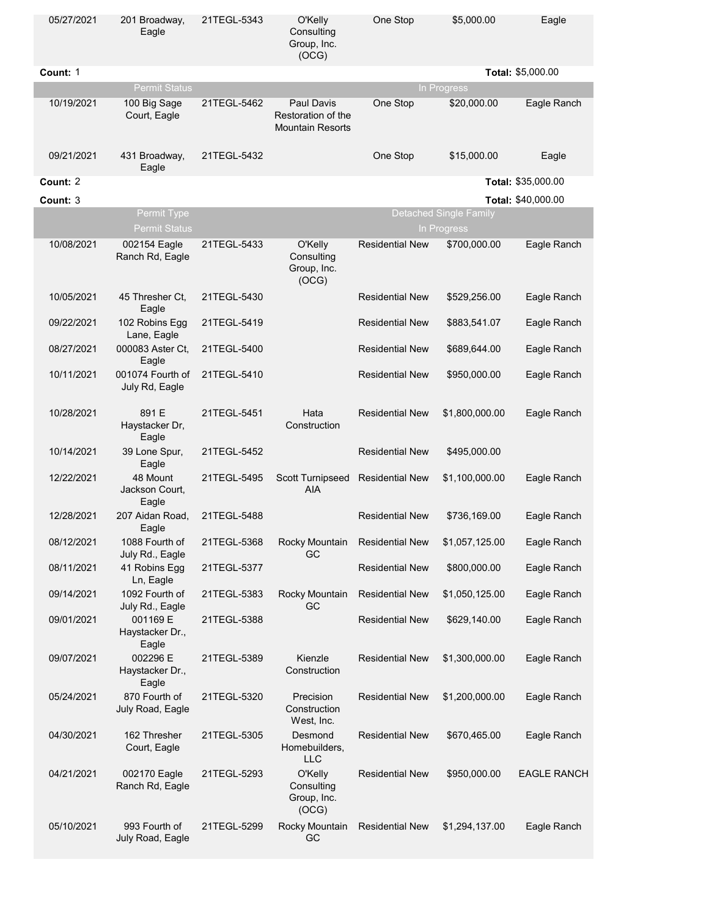| 05/27/2021 | 201 Broadway,<br>Eagle               | 21TEGL-5343 | O'Kelly<br>Consulting<br>Group, Inc.<br>(OCG)                      | One Stop               | \$5,000.00                                   | Eagle              |
|------------|--------------------------------------|-------------|--------------------------------------------------------------------|------------------------|----------------------------------------------|--------------------|
| Count: 1   |                                      |             |                                                                    |                        |                                              | Total: \$5,000.00  |
|            | <b>Permit Status</b>                 |             |                                                                    |                        | In Progress                                  |                    |
| 10/19/2021 | 100 Big Sage<br>Court, Eagle         | 21TEGL-5462 | <b>Paul Davis</b><br>Restoration of the<br><b>Mountain Resorts</b> | One Stop               | \$20,000.00                                  | Eagle Ranch        |
| 09/21/2021 | 431 Broadway,<br>Eagle               | 21TEGL-5432 |                                                                    | One Stop               | \$15,000.00                                  | Eagle              |
| Count: 2   |                                      |             |                                                                    |                        |                                              | Total: \$35,000.00 |
| Count: 3   |                                      |             |                                                                    |                        |                                              | Total: \$40,000.00 |
|            | Permit Type<br><b>Permit Status</b>  |             |                                                                    |                        | <b>Detached Single Family</b><br>In Progress |                    |
| 10/08/2021 | 002154 Eagle<br>Ranch Rd, Eagle      | 21TEGL-5433 | O'Kelly<br>Consulting<br>Group, Inc.<br>(OCG)                      | <b>Residential New</b> | \$700,000.00                                 | Eagle Ranch        |
| 10/05/2021 | 45 Thresher Ct,<br>Eagle             | 21TEGL-5430 |                                                                    | <b>Residential New</b> | \$529,256.00                                 | Eagle Ranch        |
| 09/22/2021 | 102 Robins Egg<br>Lane, Eagle        | 21TEGL-5419 |                                                                    | <b>Residential New</b> | \$883,541.07                                 | Eagle Ranch        |
| 08/27/2021 | 000083 Aster Ct,<br>Eagle            | 21TEGL-5400 |                                                                    | <b>Residential New</b> | \$689,644.00                                 | Eagle Ranch        |
| 10/11/2021 | 001074 Fourth of<br>July Rd, Eagle   | 21TEGL-5410 |                                                                    | <b>Residential New</b> | \$950,000.00                                 | Eagle Ranch        |
| 10/28/2021 | 891 E<br>Haystacker Dr,<br>Eagle     | 21TEGL-5451 | Hata<br>Construction                                               | <b>Residential New</b> | \$1,800,000.00                               | Eagle Ranch        |
| 10/14/2021 | 39 Lone Spur,<br>Eagle               | 21TEGL-5452 |                                                                    | <b>Residential New</b> | \$495,000.00                                 |                    |
| 12/22/2021 | 48 Mount<br>Jackson Court,<br>Eagle  | 21TEGL-5495 | Scott Turnipseed<br><b>AIA</b>                                     | <b>Residential New</b> | \$1,100,000.00                               | Eagle Ranch        |
| 12/28/2021 | 207 Aidan Road,<br>Eagle             | 21TEGL-5488 |                                                                    | <b>Residential New</b> | \$736,169.00                                 | Eagle Ranch        |
| 08/12/2021 | 1088 Fourth of<br>July Rd., Eagle    | 21TEGL-5368 | Rocky Mountain<br>GC                                               | <b>Residential New</b> | \$1,057,125.00                               | Eagle Ranch        |
| 08/11/2021 | 41 Robins Egg<br>Ln, Eagle           | 21TEGL-5377 |                                                                    | <b>Residential New</b> | \$800,000.00                                 | Eagle Ranch        |
| 09/14/2021 | 1092 Fourth of<br>July Rd., Eagle    | 21TEGL-5383 | Rocky Mountain<br>GC                                               | <b>Residential New</b> | \$1,050,125.00                               | Eagle Ranch        |
| 09/01/2021 | 001169 E<br>Haystacker Dr.,<br>Eagle | 21TEGL-5388 |                                                                    | <b>Residential New</b> | \$629,140.00                                 | Eagle Ranch        |
| 09/07/2021 | 002296 E<br>Haystacker Dr.,<br>Eagle | 21TEGL-5389 | Kienzle<br>Construction                                            | <b>Residential New</b> | \$1,300,000.00                               | Eagle Ranch        |
| 05/24/2021 | 870 Fourth of<br>July Road, Eagle    | 21TEGL-5320 | Precision<br>Construction<br>West, Inc.                            | <b>Residential New</b> | \$1,200,000.00                               | Eagle Ranch        |
| 04/30/2021 | 162 Thresher<br>Court, Eagle         | 21TEGL-5305 | Desmond<br>Homebuilders,<br><b>LLC</b>                             | <b>Residential New</b> | \$670,465.00                                 | Eagle Ranch        |
| 04/21/2021 | 002170 Eagle<br>Ranch Rd, Eagle      | 21TEGL-5293 | O'Kelly<br>Consulting<br>Group, Inc.<br>(OCG)                      | <b>Residential New</b> | \$950,000.00                                 | <b>EAGLE RANCH</b> |
| 05/10/2021 | 993 Fourth of<br>July Road, Eagle    | 21TEGL-5299 | Rocky Mountain<br>GC                                               | <b>Residential New</b> | \$1,294,137.00                               | Eagle Ranch        |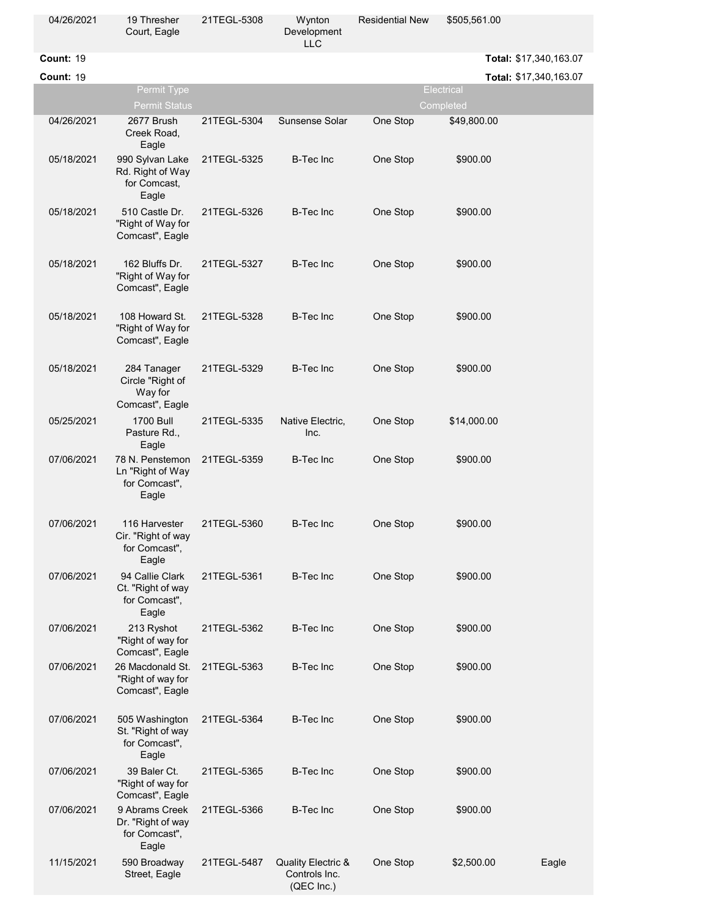| 04/26/2021       | 19 Thresher<br>Court, Eagle                                    | 21TEGL-5308 | Wynton<br>Development<br><b>LLC</b>               | <b>Residential New</b> | \$505,561.00           |       |
|------------------|----------------------------------------------------------------|-------------|---------------------------------------------------|------------------------|------------------------|-------|
| Count: 19        |                                                                |             |                                                   |                        | Total: \$17,340,163.07 |       |
| <b>Count: 19</b> |                                                                |             |                                                   |                        | Total: \$17,340,163.07 |       |
|                  | Permit Type                                                    |             |                                                   |                        | <b>Electrical</b>      |       |
|                  | <b>Permit Status</b>                                           |             |                                                   |                        | Completed              |       |
| 04/26/2021       | 2677 Brush<br>Creek Road,<br>Eagle                             | 21TEGL-5304 | Sunsense Solar                                    | One Stop               | \$49,800.00            |       |
| 05/18/2021       | 990 Sylvan Lake<br>Rd. Right of Way<br>for Comcast,<br>Eagle   | 21TEGL-5325 | <b>B-Tec Inc</b>                                  | One Stop               | \$900.00               |       |
| 05/18/2021       | 510 Castle Dr.<br>"Right of Way for<br>Comcast", Eagle         | 21TEGL-5326 | <b>B-Tec Inc</b>                                  | One Stop               | \$900.00               |       |
| 05/18/2021       | 162 Bluffs Dr.<br>"Right of Way for<br>Comcast", Eagle         | 21TEGL-5327 | <b>B-Tec Inc</b>                                  | One Stop               | \$900.00               |       |
| 05/18/2021       | 108 Howard St.<br>"Right of Way for<br>Comcast", Eagle         | 21TEGL-5328 | <b>B-Tec Inc</b>                                  | One Stop               | \$900.00               |       |
| 05/18/2021       | 284 Tanager<br>Circle "Right of<br>Way for<br>Comcast", Eagle  | 21TEGL-5329 | <b>B-Tec Inc</b>                                  | One Stop               | \$900.00               |       |
| 05/25/2021       | <b>1700 Bull</b><br>Pasture Rd.,<br>Eagle                      | 21TEGL-5335 | Native Electric,<br>Inc.                          | One Stop               | \$14,000.00            |       |
| 07/06/2021       | 78 N. Penstemon<br>Ln "Right of Way<br>for Comcast".<br>Eagle  | 21TEGL-5359 | <b>B-Tec Inc</b>                                  | One Stop               | \$900.00               |       |
| 07/06/2021       | 116 Harvester<br>Cir. "Right of way<br>for Comcast",<br>Eagle  | 21TEGL-5360 | B-Tec Inc                                         | One Stop               | \$900.00               |       |
| 07/06/2021       | 94 Callie Clark<br>Ct. "Right of way<br>for Comcast".<br>Eagle | 21TEGL-5361 | <b>B-Tec Inc</b>                                  | One Stop               | \$900.00               |       |
| 07/06/2021       | 213 Ryshot<br>"Right of way for<br>Comcast", Eagle             | 21TEGL-5362 | <b>B-Tec Inc</b>                                  | One Stop               | \$900.00               |       |
| 07/06/2021       | 26 Macdonald St.<br>"Right of way for<br>Comcast", Eagle       | 21TEGL-5363 | <b>B-Tec Inc</b>                                  | One Stop               | \$900.00               |       |
| 07/06/2021       | 505 Washington<br>St. "Right of way<br>for Comcast",<br>Eagle  | 21TEGL-5364 | <b>B-Tec Inc</b>                                  | One Stop               | \$900.00               |       |
| 07/06/2021       | 39 Baler Ct.<br>"Right of way for<br>Comcast", Eagle           | 21TEGL-5365 | <b>B-Tec Inc</b>                                  | One Stop               | \$900.00               |       |
| 07/06/2021       | 9 Abrams Creek<br>Dr. "Right of way<br>for Comcast",<br>Eagle  | 21TEGL-5366 | <b>B-Tec Inc</b>                                  | One Stop               | \$900.00               |       |
| 11/15/2021       | 590 Broadway<br>Street, Eagle                                  | 21TEGL-5487 | Quality Electric &<br>Controls Inc.<br>(QEC Inc.) | One Stop               | \$2,500.00             | Eagle |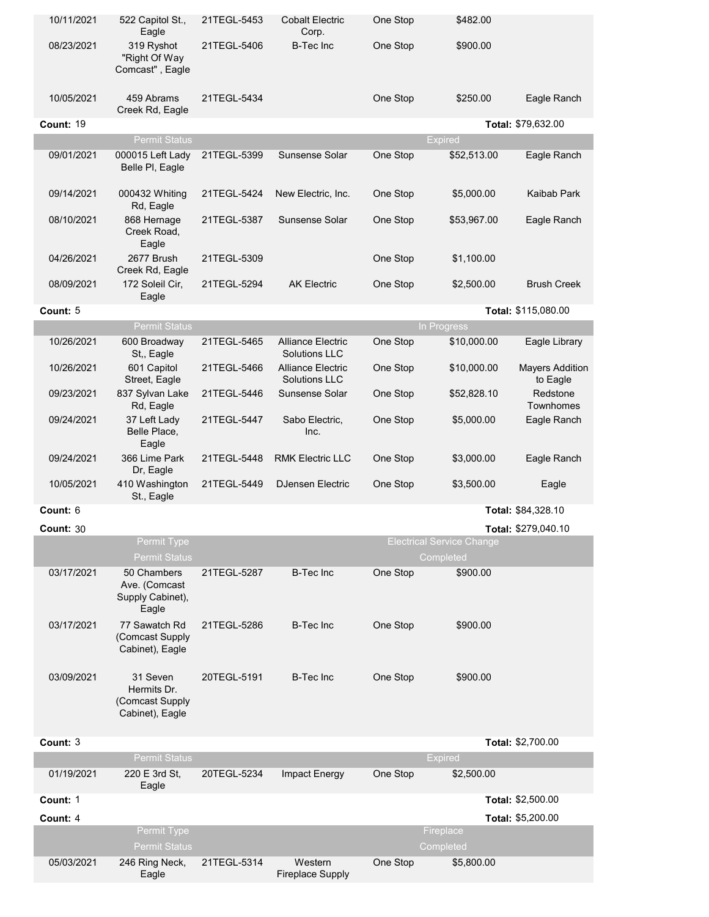| 10/11/2021       | 522 Capitol St.,<br>Eagle                                      | 21TEGL-5453 | Cobalt Electric<br>Corp.                         | One Stop | \$482.00                                      |                                    |
|------------------|----------------------------------------------------------------|-------------|--------------------------------------------------|----------|-----------------------------------------------|------------------------------------|
| 08/23/2021       | 319 Ryshot<br>"Right Of Way<br>Comcast", Eagle                 | 21TEGL-5406 | <b>B-Tec Inc</b>                                 | One Stop | \$900.00                                      |                                    |
| 10/05/2021       | 459 Abrams<br>Creek Rd, Eagle                                  | 21TEGL-5434 |                                                  | One Stop | \$250.00                                      | Eagle Ranch                        |
| Count: 19        |                                                                |             |                                                  |          |                                               | Total: \$79,632.00                 |
|                  | <b>Permit Status</b>                                           |             |                                                  |          | <b>Expired</b>                                |                                    |
| 09/01/2021       | 000015 Left Lady<br>Belle PI, Eagle                            | 21TEGL-5399 | Sunsense Solar                                   | One Stop | \$52,513.00                                   | Eagle Ranch                        |
| 09/14/2021       | 000432 Whiting<br>Rd, Eagle                                    | 21TEGL-5424 | New Electric, Inc.                               | One Stop | \$5,000.00                                    | Kaibab Park                        |
| 08/10/2021       | 868 Hernage<br>Creek Road,<br>Eagle                            | 21TEGL-5387 | Sunsense Solar                                   | One Stop | \$53,967.00                                   | Eagle Ranch                        |
| 04/26/2021       | 2677 Brush<br>Creek Rd, Eagle                                  | 21TEGL-5309 |                                                  | One Stop | \$1,100.00                                    |                                    |
| 08/09/2021       | 172 Soleil Cir,<br>Eagle                                       | 21TEGL-5294 | <b>AK Electric</b>                               | One Stop | \$2,500.00                                    | <b>Brush Creek</b>                 |
| Count: 5         |                                                                |             |                                                  |          |                                               | Total: \$115,080.00                |
|                  | <b>Permit Status</b>                                           |             |                                                  |          | In Progress                                   |                                    |
| 10/26/2021       | 600 Broadway<br>St,, Eagle                                     | 21TEGL-5465 | <b>Alliance Electric</b><br><b>Solutions LLC</b> | One Stop | \$10,000.00                                   | Eagle Library                      |
| 10/26/2021       | 601 Capitol<br>Street, Eagle                                   | 21TEGL-5466 | <b>Alliance Electric</b><br><b>Solutions LLC</b> | One Stop | \$10,000.00                                   | <b>Mayers Addition</b><br>to Eagle |
| 09/23/2021       | 837 Sylvan Lake<br>Rd, Eagle                                   | 21TEGL-5446 | Sunsense Solar                                   | One Stop | \$52,828.10                                   | Redstone<br>Townhomes              |
| 09/24/2021       | 37 Left Lady<br>Belle Place,<br>Eagle                          | 21TEGL-5447 | Sabo Electric,<br>Inc.                           | One Stop | \$5,000.00                                    | Eagle Ranch                        |
| 09/24/2021       | 366 Lime Park<br>Dr, Eagle                                     | 21TEGL-5448 | <b>RMK Electric LLC</b>                          | One Stop | \$3,000.00                                    | Eagle Ranch                        |
| 10/05/2021       | 410 Washington<br>St., Eagle                                   | 21TEGL-5449 | <b>DJensen Electric</b>                          | One Stop | \$3,500.00                                    | Eagle                              |
| Count: 6         |                                                                |             |                                                  |          |                                               | Total: \$84,328.10                 |
| <b>Count: 30</b> |                                                                |             |                                                  |          |                                               | Total: \$279,040.10                |
|                  | <b>Permit Type</b><br><b>Permit Status</b>                     |             |                                                  |          | <b>Electrical Service Change</b><br>Completed |                                    |
| 03/17/2021       | 50 Chambers<br>Ave. (Comcast<br>Supply Cabinet),<br>Eagle      | 21TEGL-5287 | <b>B-Tec Inc</b>                                 | One Stop | \$900.00                                      |                                    |
| 03/17/2021       | 77 Sawatch Rd<br>(Comcast Supply<br>Cabinet), Eagle            | 21TEGL-5286 | <b>B-Tec Inc</b>                                 | One Stop | \$900.00                                      |                                    |
| 03/09/2021       | 31 Seven<br>Hermits Dr.<br>(Comcast Supply)<br>Cabinet), Eagle | 20TEGL-5191 | <b>B-Tec Inc</b>                                 | One Stop | \$900.00                                      |                                    |
| Count: 3         |                                                                |             |                                                  |          |                                               | Total: \$2,700.00                  |
|                  | <b>Permit Status</b>                                           |             |                                                  |          | <b>Expired</b>                                |                                    |
| 01/19/2021       | 220 E 3rd St,<br>Eagle                                         | 20TEGL-5234 | Impact Energy                                    | One Stop | \$2,500.00                                    |                                    |
| Count: 1         |                                                                |             |                                                  |          |                                               | Total: \$2,500.00                  |
| Count: 4         |                                                                |             |                                                  |          |                                               | Total: \$5,200.00                  |
|                  | Permit Type<br><b>Permit Status</b>                            |             |                                                  |          | Fireplace<br>Completed                        |                                    |
| 05/03/2021       | 246 Ring Neck,<br>Eagle                                        | 21TEGL-5314 | Western<br><b>Fireplace Supply</b>               | One Stop | \$5,800.00                                    |                                    |
|                  |                                                                |             |                                                  |          |                                               |                                    |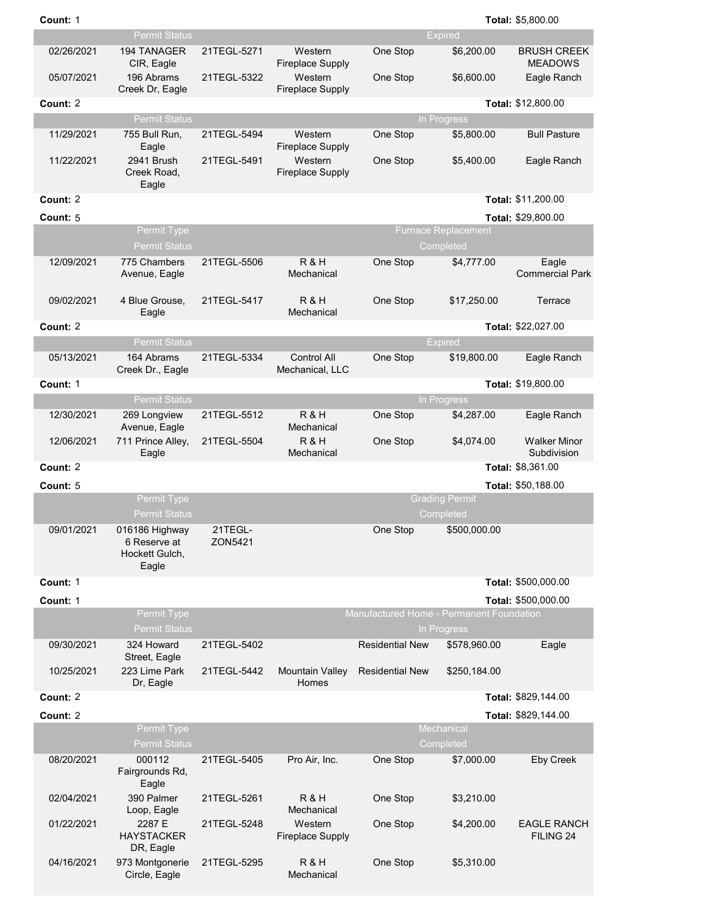| Count: 1   |                                                           |                    |                                       |                                          |                                         | Total: \$5,800.00                    |
|------------|-----------------------------------------------------------|--------------------|---------------------------------------|------------------------------------------|-----------------------------------------|--------------------------------------|
|            | <b>Permit Status</b>                                      |                    |                                       |                                          | <b>Expired</b>                          |                                      |
| 02/26/2021 | 194 TANAGER<br>CIR, Eagle                                 | 21TEGL-5271        | Western<br><b>Fireplace Supply</b>    | One Stop                                 | \$6,200.00                              | <b>BRUSH CREEK</b><br><b>MEADOWS</b> |
| 05/07/2021 | 196 Abrams<br>Creek Dr, Eagle                             | 21TEGL-5322        | Western<br><b>Fireplace Supply</b>    | One Stop                                 | \$6,600.00                              | Eagle Ranch                          |
| Count: 2   |                                                           |                    |                                       |                                          |                                         | Total: \$12,800.00                   |
|            | <b>Permit Status</b>                                      |                    |                                       |                                          | In Progress                             |                                      |
| 11/29/2021 | 755 Bull Run,<br>Eagle                                    | 21TEGL-5494        | Western<br><b>Fireplace Supply</b>    | One Stop                                 | \$5,800.00                              | <b>Bull Pasture</b>                  |
| 11/22/2021 | 2941 Brush<br>Creek Road,<br>Eagle                        | 21TEGL-5491        | Western<br><b>Fireplace Supply</b>    | One Stop                                 | \$5,400.00                              | Eagle Ranch                          |
| Count: 2   |                                                           |                    |                                       |                                          |                                         | Total: \$11,200.00                   |
| Count: 5   |                                                           |                    |                                       |                                          |                                         | Total: \$29,800.00                   |
|            | <b>Permit Type</b><br><b>Permit Status</b>                |                    |                                       |                                          | <b>Furnace Replacement</b><br>Completed |                                      |
| 12/09/2021 | 775 Chambers<br>Avenue, Eagle                             | 21TEGL-5506        | R&H<br>Mechanical                     | One Stop                                 | \$4,777.00                              | Eagle<br><b>Commercial Park</b>      |
| 09/02/2021 | 4 Blue Grouse,<br>Eagle                                   | 21TEGL-5417        | <b>R&amp;H</b><br>Mechanical          | One Stop                                 | \$17,250.00                             | Terrace                              |
| Count: 2   |                                                           |                    |                                       |                                          |                                         | Total: \$22,027.00                   |
|            | <b>Permit Status</b>                                      |                    |                                       |                                          | <b>Expired</b>                          |                                      |
| 05/13/2021 | 164 Abrams<br>Creek Dr., Eagle                            | 21TEGL-5334        | <b>Control All</b><br>Mechanical, LLC | One Stop                                 | \$19,800.00                             | Eagle Ranch                          |
| Count: 1   |                                                           |                    |                                       |                                          |                                         | Total: \$19,800.00                   |
|            | <b>Permit Status</b>                                      |                    |                                       |                                          | In Progress                             |                                      |
| 12/30/2021 | 269 Longview<br>Avenue, Eagle                             | 21TEGL-5512        | R & H<br>Mechanical                   | One Stop                                 | \$4,287.00                              | Eagle Ranch                          |
| 12/06/2021 | 711 Prince Alley,<br>Eagle                                | 21TEGL-5504        | R&H<br>Mechanical                     | One Stop                                 | \$4,074.00                              | <b>Walker Minor</b><br>Subdivision   |
| Count: 2   |                                                           |                    |                                       |                                          |                                         | Total: \$8,361.00                    |
| Count: 5   |                                                           |                    |                                       |                                          |                                         | Total: \$50,188.00                   |
|            | <b>Permit Type</b><br><b>Permit Status</b>                |                    |                                       |                                          | <b>Grading Permit</b><br>Completed      |                                      |
| 09/01/2021 | 016186 Highway<br>6 Reserve at<br>Hockett Gulch,<br>Eagle | 21TEGL-<br>ZON5421 |                                       | One Stop                                 | \$500,000.00                            |                                      |
| Count: 1   |                                                           |                    |                                       |                                          |                                         | Total: \$500,000.00                  |
| Count: 1   |                                                           |                    |                                       |                                          |                                         | Total: \$500,000.00                  |
|            | Permit Type<br><b>Permit Status</b>                       |                    |                                       | Manufactured Home - Permanent Foundation | In Progress                             |                                      |
| 09/30/2021 | 324 Howard<br>Street, Eagle                               | 21TEGL-5402        |                                       | <b>Residential New</b>                   | \$578,960.00                            | Eagle                                |
| 10/25/2021 | 223 Lime Park<br>Dr, Eagle                                | 21TEGL-5442        | Mountain Valley<br>Homes              | <b>Residential New</b>                   | \$250,184.00                            |                                      |
| Count: 2   |                                                           |                    |                                       |                                          |                                         | Total: \$829,144.00                  |
| Count: 2   |                                                           |                    |                                       |                                          |                                         | Total: \$829,144.00                  |
|            | Permit Type<br><b>Permit Status</b>                       |                    |                                       |                                          | Mechanical<br>Completed                 |                                      |
| 08/20/2021 | 000112                                                    | 21TEGL-5405        | Pro Air, Inc.                         | One Stop                                 | \$7,000.00                              | <b>Eby Creek</b>                     |
|            | Fairgrounds Rd,<br>Eagle                                  |                    |                                       |                                          |                                         |                                      |
| 02/04/2021 | 390 Palmer<br>Loop, Eagle                                 | 21TEGL-5261        | R&H<br>Mechanical                     | One Stop                                 | \$3,210.00                              |                                      |
| 01/22/2021 | 2287 E<br><b>HAYSTACKER</b><br>DR, Eagle                  | 21TEGL-5248        | Western<br><b>Fireplace Supply</b>    | One Stop                                 | \$4,200.00                              | <b>EAGLE RANCH</b><br>FILING 24      |
| 04/16/2021 | 973 Montgonerie<br>Circle, Eagle                          | 21TEGL-5295        | R & H<br>Mechanical                   | One Stop                                 | \$5,310.00                              |                                      |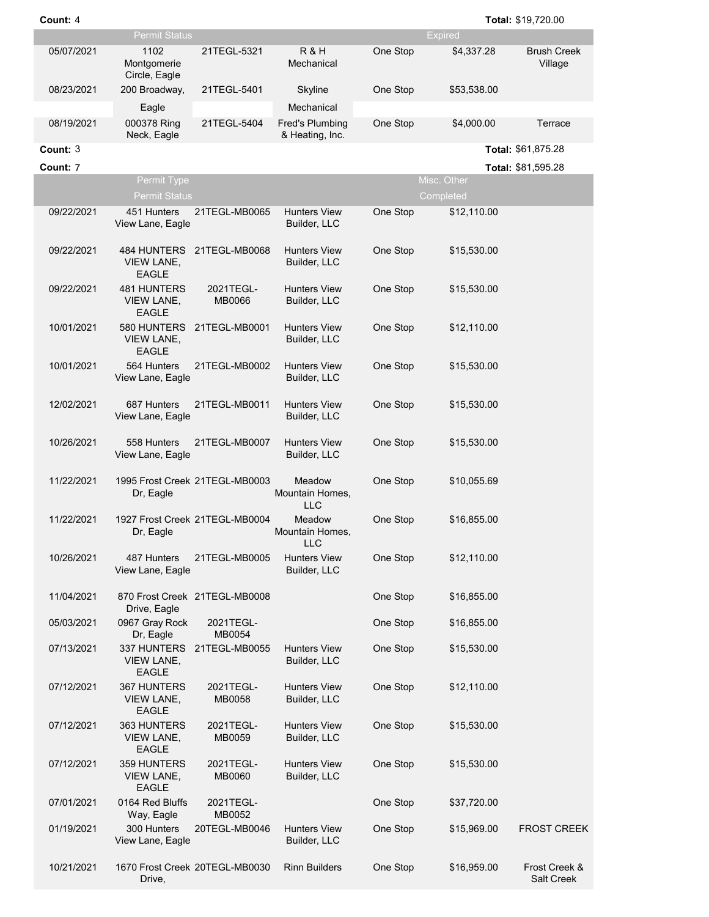|            | <b>Permit Status</b>                             |                                |                                         |          | <b>Expired</b> |                               |
|------------|--------------------------------------------------|--------------------------------|-----------------------------------------|----------|----------------|-------------------------------|
| 05/07/2021 | 1102<br>Montgomerie<br>Circle, Eagle             | 21TEGL-5321                    | R&H<br>Mechanical                       | One Stop | \$4,337.28     | <b>Brush Creek</b><br>Village |
| 08/23/2021 | 200 Broadway,                                    | 21TEGL-5401                    | Skyline                                 | One Stop | \$53,538.00    |                               |
| 08/19/2021 | Eagle<br>000378 Ring                             | 21TEGL-5404                    | Mechanical<br><b>Fred's Plumbing</b>    | One Stop | \$4,000.00     | Terrace                       |
|            | Neck, Eagle                                      |                                | & Heating, Inc.                         |          |                |                               |
| Count: 3   |                                                  |                                |                                         |          |                | Total: \$61,875.28            |
| Count: 7   | Permit Type                                      |                                |                                         |          | Misc. Other    | Total: \$81,595.28            |
|            | <b>Permit Status</b>                             |                                |                                         |          | Completed      |                               |
| 09/22/2021 | 451 Hunters<br>View Lane, Eagle                  | 21TEGL-MB0065                  | <b>Hunters View</b><br>Builder, LLC     | One Stop | \$12,110.00    |                               |
| 09/22/2021 | <b>VIEW LANE,</b><br><b>EAGLE</b>                | 484 HUNTERS 21TEGL-MB0068      | <b>Hunters View</b><br>Builder, LLC     | One Stop | \$15,530.00    |                               |
| 09/22/2021 | <b>481 HUNTERS</b><br>VIEW LANE,<br><b>EAGLE</b> | 2021TEGL-<br>MB0066            | <b>Hunters View</b><br>Builder, LLC     | One Stop | \$15,530.00    |                               |
| 10/01/2021 | <b>VIEW LANE,</b><br><b>EAGLE</b>                |                                | <b>Hunters View</b><br>Builder, LLC     | One Stop | \$12,110.00    |                               |
| 10/01/2021 | 564 Hunters<br>View Lane, Eagle                  | 21TEGL-MB0002                  | <b>Hunters View</b><br>Builder, LLC     | One Stop | \$15,530.00    |                               |
| 12/02/2021 | 687 Hunters<br>View Lane, Eagle                  | 21TEGL-MB0011                  | <b>Hunters View</b><br>Builder, LLC     | One Stop | \$15,530.00    |                               |
| 10/26/2021 | 558 Hunters<br>View Lane, Eagle                  | 21TEGL-MB0007                  | <b>Hunters View</b><br>Builder, LLC     | One Stop | \$15,530.00    |                               |
| 11/22/2021 | Dr, Eagle                                        | 1995 Frost Creek 21TEGL-MB0003 | Meadow<br>Mountain Homes,<br><b>LLC</b> | One Stop | \$10,055.69    |                               |
| 11/22/2021 | Dr, Eagle                                        | 1927 Frost Creek 21TEGL-MB0004 | Meadow<br>Mountain Homes,<br><b>LLC</b> | One Stop | \$16,855.00    |                               |
| 10/26/2021 | 487 Hunters<br>View Lane, Eagle                  | 21TEGL-MB0005                  | <b>Hunters View</b><br>Builder, LLC     | One Stop | \$12,110.00    |                               |
| 11/04/2021 | Drive, Eagle                                     | 870 Frost Creek 21TEGL-MB0008  |                                         | One Stop | \$16,855.00    |                               |
| 05/03/2021 | 0967 Gray Rock<br>Dr, Eagle                      | 2021TEGL-<br>MB0054            |                                         | One Stop | \$16,855.00    |                               |
| 07/13/2021 | 337 HUNTERS<br><b>VIEW LANE,</b><br><b>EAGLE</b> | 21TEGL-MB0055                  | <b>Hunters View</b><br>Builder, LLC     | One Stop | \$15,530.00    |                               |
| 07/12/2021 | 367 HUNTERS<br><b>VIEW LANE,</b><br><b>EAGLE</b> | 2021TEGL-<br>MB0058            | <b>Hunters View</b><br>Builder, LLC     | One Stop | \$12,110.00    |                               |
| 07/12/2021 | 363 HUNTERS<br><b>VIEW LANE,</b><br><b>EAGLE</b> | 2021TEGL-<br>MB0059            | <b>Hunters View</b><br>Builder, LLC     | One Stop | \$15,530.00    |                               |
| 07/12/2021 | 359 HUNTERS<br>VIEW LANE,<br>EAGLE               | 2021TEGL-<br>MB0060            | <b>Hunters View</b><br>Builder, LLC     | One Stop | \$15,530.00    |                               |
| 07/01/2021 | 0164 Red Bluffs<br>Way, Eagle                    | 2021TEGL-<br>MB0052            |                                         | One Stop | \$37,720.00    |                               |
| 01/19/2021 | 300 Hunters<br>View Lane, Eagle                  | 20TEGL-MB0046                  | <b>Hunters View</b><br>Builder, LLC     | One Stop | \$15,969.00    | <b>FROST CREEK</b>            |
| 10/21/2021 |                                                  | 1670 Frost Creek 20TEGL-MB0030 | <b>Rinn Builders</b>                    | One Stop | \$16,959.00    | Frost Creek &                 |

Drive,

Salt Creek

**Count:** 4 **Total:** \$19,720.00

4 **Total:**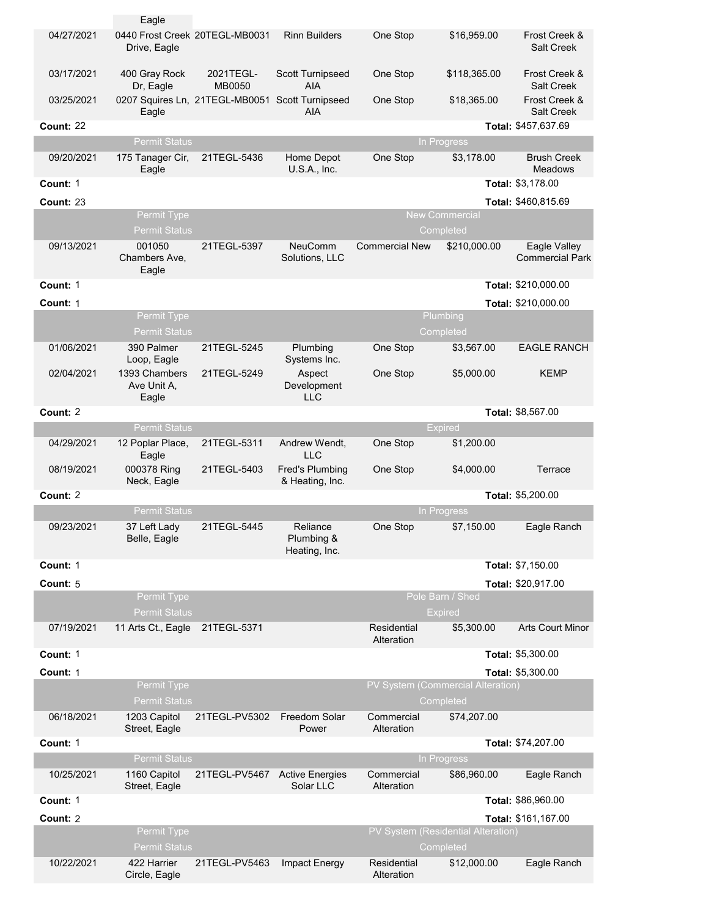|                  | Eagle                                          |                                                 |                                           |                           |                                                 |                                        |
|------------------|------------------------------------------------|-------------------------------------------------|-------------------------------------------|---------------------------|-------------------------------------------------|----------------------------------------|
| 04/27/2021       | 0440 Frost Creek 20TEGL-MB0031<br>Drive, Eagle |                                                 | <b>Rinn Builders</b>                      | One Stop                  | \$16,959.00                                     | Frost Creek &<br><b>Salt Creek</b>     |
| 03/17/2021       | 400 Gray Rock<br>Dr, Eagle                     | 2021TEGL-<br><b>MB0050</b>                      | <b>Scott Turnipseed</b><br><b>AIA</b>     | One Stop                  | \$118,365.00                                    | Frost Creek &<br><b>Salt Creek</b>     |
| 03/25/2021       | Eagle                                          | 0207 Squires Ln, 21TEGL-MB0051 Scott Turnipseed | <b>AIA</b>                                | One Stop                  | \$18,365.00                                     | Frost Creek &<br><b>Salt Creek</b>     |
| <b>Count: 22</b> |                                                |                                                 |                                           |                           |                                                 | Total: \$457,637.69                    |
|                  | <b>Permit Status</b>                           |                                                 |                                           |                           | In Progress                                     |                                        |
| 09/20/2021       | 175 Tanager Cir,<br>Eagle                      | 21TEGL-5436                                     | Home Depot<br>U.S.A., Inc.                | One Stop                  | \$3,178.00                                      | <b>Brush Creek</b><br><b>Meadows</b>   |
| Count: 1         |                                                |                                                 |                                           |                           |                                                 | Total: \$3,178.00                      |
| <b>Count: 23</b> |                                                |                                                 |                                           |                           |                                                 | Total: \$460,815.69                    |
|                  | Permit Type<br><b>Permit Status</b>            |                                                 |                                           |                           | <b>New Commercial</b><br>Completed              |                                        |
| 09/13/2021       | 001050<br>Chambers Ave,<br>Eagle               | 21TEGL-5397                                     | <b>NeuComm</b><br>Solutions, LLC          | <b>Commercial New</b>     | \$210,000.00                                    | Eagle Valley<br><b>Commercial Park</b> |
| Count: 1         |                                                |                                                 |                                           |                           |                                                 | Total: \$210,000.00                    |
| Count: 1         |                                                |                                                 |                                           |                           |                                                 | Total: \$210,000.00                    |
|                  | Permit Type<br><b>Permit Status</b>            |                                                 |                                           |                           | Plumbing<br>Completed                           |                                        |
| 01/06/2021       | 390 Palmer<br>Loop, Eagle                      | 21TEGL-5245                                     | Plumbing<br>Systems Inc.                  | One Stop                  | \$3,567.00                                      | <b>EAGLE RANCH</b>                     |
| 02/04/2021       | 1393 Chambers<br>Ave Unit A,<br>Eagle          | 21TEGL-5249                                     | Aspect<br>Development<br><b>LLC</b>       | One Stop                  | \$5,000.00                                      | <b>KEMP</b>                            |
| Count: 2         |                                                |                                                 |                                           |                           |                                                 | Total: \$8,567.00                      |
|                  | <b>Permit Status</b>                           |                                                 |                                           |                           | <b>Expired</b>                                  |                                        |
| 04/29/2021       | 12 Poplar Place,<br>Eagle                      | 21TEGL-5311                                     | Andrew Wendt,<br><b>LLC</b>               | One Stop                  | \$1,200.00                                      |                                        |
| 08/19/2021       | 000378 Ring<br>Neck, Eagle                     | 21TEGL-5403                                     | <b>Fred's Plumbing</b><br>& Heating, Inc. | One Stop                  | \$4,000.00                                      | Terrace                                |
| Count: 2         |                                                |                                                 |                                           |                           |                                                 | Total: \$5,200.00                      |
|                  | <b>Permit Status</b>                           |                                                 |                                           |                           | In Progress                                     |                                        |
| 09/23/2021       | 37 Left Lady<br>Belle, Eagle                   | 21TEGL-5445                                     | Reliance<br>Plumbing &<br>Heating, Inc.   | One Stop                  | \$7,150.00                                      | Eagle Ranch                            |
| Count: 1         |                                                |                                                 |                                           |                           |                                                 | Total: \$7,150.00                      |
| Count: 5         |                                                |                                                 |                                           |                           |                                                 | Total: \$20,917.00                     |
|                  | Permit Type<br><b>Permit Status</b>            |                                                 |                                           |                           | Pole Barn / Shed<br><b>Expired</b>              |                                        |
| 07/19/2021       | 11 Arts Ct., Eagle                             | 21TEGL-5371                                     |                                           | Residential<br>Alteration | \$5,300.00                                      | <b>Arts Court Minor</b>                |
| Count: 1         |                                                |                                                 |                                           |                           |                                                 | Total: \$5,300.00                      |
| Count: 1         |                                                |                                                 |                                           |                           |                                                 | Total: \$5,300.00                      |
|                  | Permit Type<br><b>Permit Status</b>            |                                                 |                                           |                           | PV System (Commercial Alteration)<br>Completed  |                                        |
| 06/18/2021       | 1203 Capitol<br>Street, Eagle                  | 21TEGL-PV5302                                   | Freedom Solar<br>Power                    | Commercial<br>Alteration  | \$74,207.00                                     |                                        |
| Count: 1         |                                                |                                                 |                                           |                           |                                                 | Total: \$74,207.00                     |
|                  | <b>Permit Status</b>                           |                                                 |                                           |                           | In Progress                                     |                                        |
| 10/25/2021       | 1160 Capitol<br>Street, Eagle                  | 21TEGL-PV5467                                   | <b>Active Energies</b><br>Solar LLC       | Commercial<br>Alteration  | \$86,960.00                                     | Eagle Ranch                            |
| Count: 1         |                                                |                                                 |                                           |                           |                                                 | Total: \$86,960.00                     |
| Count: 2         |                                                |                                                 |                                           |                           |                                                 | Total: \$161,167.00                    |
|                  | Permit Type<br><b>Permit Status</b>            |                                                 |                                           |                           | PV System (Residential Alteration)<br>Completed |                                        |
| 10/22/2021       | 422 Harrier<br>Circle, Eagle                   | 21TEGL-PV5463                                   | Impact Energy                             | Residential<br>Alteration | \$12,000.00                                     | Eagle Ranch                            |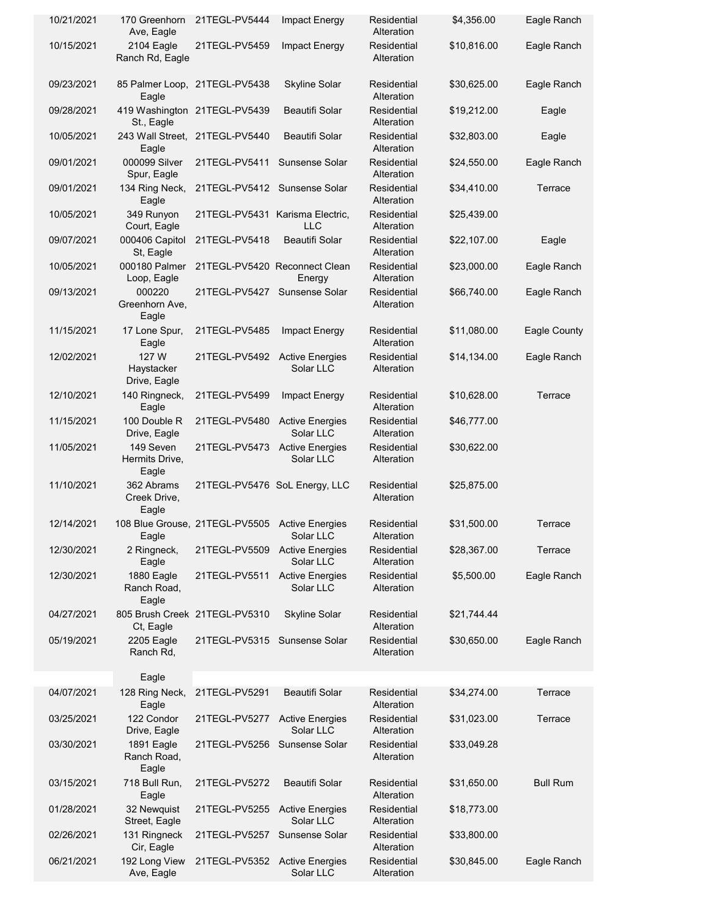| 10/21/2021 | 170 Greenhorn<br>Ave, Eagle          | 21TEGL-PV5444                                  | Impact Energy                       | Residential<br>Alteration | \$4,356.00  | Eagle Ranch     |
|------------|--------------------------------------|------------------------------------------------|-------------------------------------|---------------------------|-------------|-----------------|
| 10/15/2021 | 2104 Eagle<br>Ranch Rd, Eagle        | 21TEGL-PV5459                                  | Impact Energy                       | Residential<br>Alteration | \$10,816.00 | Eagle Ranch     |
| 09/23/2021 | Eagle                                | 85 Palmer Loop, 21TEGL-PV5438                  | <b>Skyline Solar</b>                | Residential<br>Alteration | \$30,625.00 | Eagle Ranch     |
| 09/28/2021 | St., Eagle                           | 419 Washington 21TEGL-PV5439                   | <b>Beautifi Solar</b>               | Residential<br>Alteration | \$19,212.00 | Eagle           |
| 10/05/2021 | Eagle                                | 243 Wall Street. 21TEGL-PV5440                 | <b>Beautifi Solar</b>               | Residential<br>Alteration | \$32,803.00 | Eagle           |
| 09/01/2021 | 000099 Silver<br>Spur, Eagle         | 21TEGL-PV5411                                  | Sunsense Solar                      | Residential<br>Alteration | \$24,550.00 | Eagle Ranch     |
| 09/01/2021 | 134 Ring Neck,<br>Eagle              | 21TEGL-PV5412                                  | Sunsense Solar                      | Residential<br>Alteration | \$34,410.00 | Terrace         |
| 10/05/2021 | 349 Runyon<br>Court, Eagle           | 21TEGL-PV5431 Karisma Electric,                | <b>LLC</b>                          | Residential<br>Alteration | \$25,439.00 |                 |
| 09/07/2021 | 000406 Capitol<br>St, Eagle          | 21TEGL-PV5418                                  | <b>Beautifi Solar</b>               | Residential<br>Alteration | \$22,107.00 | Eagle           |
| 10/05/2021 | 000180 Palmer<br>Loop, Eagle         | 21TEGL-PV5420 Reconnect Clean                  | Energy                              | Residential<br>Alteration | \$23,000.00 | Eagle Ranch     |
| 09/13/2021 | 000220<br>Greenhorn Ave,<br>Eagle    | 21TEGL-PV5427                                  | Sunsense Solar                      | Residential<br>Alteration | \$66,740.00 | Eagle Ranch     |
| 11/15/2021 | 17 Lone Spur,<br>Eagle               | 21TEGL-PV5485                                  | Impact Energy                       | Residential<br>Alteration | \$11,080.00 | Eagle County    |
| 12/02/2021 | 127 W<br>Haystacker<br>Drive, Eagle  | 21TEGL-PV5492                                  | <b>Active Energies</b><br>Solar LLC | Residential<br>Alteration | \$14,134.00 | Eagle Ranch     |
| 12/10/2021 | 140 Ringneck,<br>Eagle               | 21TEGL-PV5499                                  | Impact Energy                       | Residential<br>Alteration | \$10,628.00 | Terrace         |
| 11/15/2021 | 100 Double R<br>Drive, Eagle         | 21TEGL-PV5480                                  | <b>Active Energies</b><br>Solar LLC | Residential<br>Alteration | \$46,777.00 |                 |
| 11/05/2021 | 149 Seven<br>Hermits Drive,<br>Eagle | 21TEGL-PV5473                                  | <b>Active Energies</b><br>Solar LLC | Residential<br>Alteration | \$30,622.00 |                 |
| 11/10/2021 | 362 Abrams<br>Creek Drive,<br>Eagle  | 21TEGL-PV5476 SoL Energy, LLC                  |                                     | Residential<br>Alteration | \$25,875.00 |                 |
| 12/14/2021 | Eagle                                | 108 Blue Grouse, 21TEGL-PV5505 Active Energies | Solar LLC                           | Residential<br>Alteration | \$31,500.00 | Terrace         |
| 12/30/2021 | 2 Ringneck,<br>Eagle                 | 21TEGL-PV5509                                  | <b>Active Energies</b><br>Solar LLC | Residential<br>Alteration | \$28,367.00 | Terrace         |
| 12/30/2021 | 1880 Eagle<br>Ranch Road,<br>Eagle   | 21TEGL-PV5511                                  | <b>Active Energies</b><br>Solar LLC | Residential<br>Alteration | \$5,500.00  | Eagle Ranch     |
| 04/27/2021 | Ct, Eagle                            | 805 Brush Creek 21TEGL-PV5310                  | <b>Skyline Solar</b>                | Residential<br>Alteration | \$21,744.44 |                 |
| 05/19/2021 | 2205 Eagle<br>Ranch Rd,              | 21TEGL-PV5315                                  | Sunsense Solar                      | Residential<br>Alteration | \$30,650.00 | Eagle Ranch     |
|            | Eagle                                |                                                |                                     |                           |             |                 |
| 04/07/2021 | 128 Ring Neck,<br>Eagle              | 21TEGL-PV5291                                  | <b>Beautifi Solar</b>               | Residential<br>Alteration | \$34,274.00 | Terrace         |
| 03/25/2021 | 122 Condor<br>Drive, Eagle           | 21TEGL-PV5277                                  | <b>Active Energies</b><br>Solar LLC | Residential<br>Alteration | \$31,023.00 | Terrace         |
| 03/30/2021 | 1891 Eagle<br>Ranch Road,<br>Eagle   | 21TEGL-PV5256                                  | Sunsense Solar                      | Residential<br>Alteration | \$33,049.28 |                 |
| 03/15/2021 | 718 Bull Run,<br>Eagle               | 21TEGL-PV5272                                  | <b>Beautifi Solar</b>               | Residential<br>Alteration | \$31,650.00 | <b>Bull Rum</b> |
| 01/28/2021 | 32 Newquist<br>Street, Eagle         | 21TEGL-PV5255                                  | <b>Active Energies</b><br>Solar LLC | Residential<br>Alteration | \$18,773.00 |                 |
| 02/26/2021 | 131 Ringneck<br>Cir, Eagle           | 21TEGL-PV5257                                  | Sunsense Solar                      | Residential<br>Alteration | \$33,800.00 |                 |
| 06/21/2021 | 192 Long View<br>Ave, Eagle          | 21TEGL-PV5352                                  | <b>Active Energies</b><br>Solar LLC | Residential<br>Alteration | \$30,845.00 | Eagle Ranch     |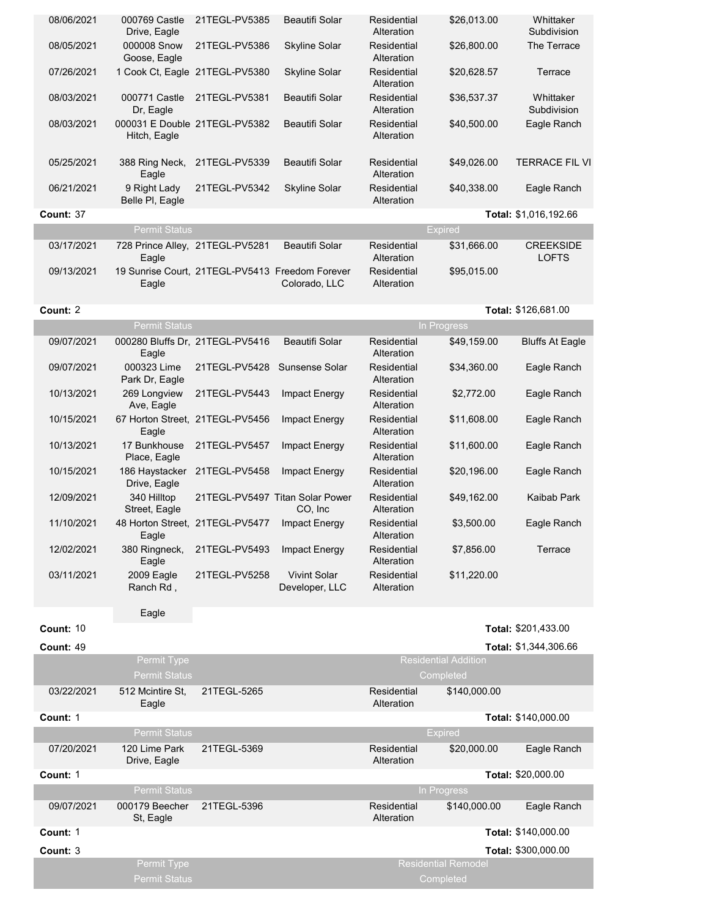| 08/06/2021       | 000769 Castle<br>Drive, Eagle            | 21TEGL-PV5385                                   | Beautifi Solar                             | Residential<br>Alteration | \$26,013.00                              | Whittaker<br>Subdivision         |
|------------------|------------------------------------------|-------------------------------------------------|--------------------------------------------|---------------------------|------------------------------------------|----------------------------------|
| 08/05/2021       | 000008 Snow<br>Goose, Eagle              | 21TEGL-PV5386                                   | <b>Skyline Solar</b>                       | Residential<br>Alteration | \$26,800.00                              | The Terrace                      |
| 07/26/2021       |                                          | 1 Cook Ct, Eagle 21TEGL-PV5380                  | <b>Skyline Solar</b>                       | Residential<br>Alteration | \$20,628.57                              | Terrace                          |
| 08/03/2021       | 000771 Castle<br>Dr, Eagle               | 21TEGL-PV5381                                   | <b>Beautifi Solar</b>                      | Residential<br>Alteration | \$36,537.37                              | Whittaker<br>Subdivision         |
| 08/03/2021       | Hitch, Eagle                             | 000031 E Double 21TEGL-PV5382                   | <b>Beautifi Solar</b>                      | Residential<br>Alteration | \$40,500.00                              | Eagle Ranch                      |
| 05/25/2021       | 388 Ring Neck,<br>Eagle                  | 21TEGL-PV5339                                   | <b>Beautifi Solar</b>                      | Residential<br>Alteration | \$49,026.00                              | <b>TERRACE FIL VI</b>            |
| 06/21/2021       | 9 Right Lady<br>Belle PI, Eagle          | 21TEGL-PV5342                                   | <b>Skyline Solar</b>                       | Residential<br>Alteration | \$40,338.00                              | Eagle Ranch                      |
| Count: 37        |                                          |                                                 |                                            |                           |                                          | Total: \$1,016,192.66            |
|                  | <b>Permit Status</b>                     |                                                 |                                            |                           | <b>Expired</b>                           |                                  |
| 03/17/2021       | Eagle                                    | 728 Prince Alley, 21TEGL-PV5281                 | <b>Beautifi Solar</b>                      | Residential<br>Alteration | \$31,666.00                              | <b>CREEKSIDE</b><br><b>LOFTS</b> |
| 09/13/2021       | Eagle                                    | 19 Sunrise Court, 21TEGL-PV5413 Freedom Forever | Colorado, LLC                              | Residential<br>Alteration | \$95,015.00                              |                                  |
| Count: 2         |                                          |                                                 |                                            |                           |                                          | Total: \$126,681.00              |
|                  | <b>Permit Status</b>                     |                                                 |                                            |                           | In Progress                              |                                  |
| 09/07/2021       | 000280 Bluffs Dr, 21TEGL-PV5416<br>Eagle |                                                 | <b>Beautifi Solar</b>                      | Residential<br>Alteration | \$49,159.00                              | <b>Bluffs At Eagle</b>           |
| 09/07/2021       | 000323 Lime<br>Park Dr, Eagle            | 21TEGL-PV5428                                   | Sunsense Solar                             | Residential<br>Alteration | \$34,360.00                              | Eagle Ranch                      |
| 10/13/2021       | 269 Longview<br>Ave, Eagle               | 21TEGL-PV5443                                   | Impact Energy                              | Residential<br>Alteration | \$2,772.00                               | Eagle Ranch                      |
| 10/15/2021       | Eagle                                    | 67 Horton Street, 21TEGL-PV5456                 | Impact Energy                              | Residential<br>Alteration | \$11,608.00                              | Eagle Ranch                      |
| 10/13/2021       | 17 Bunkhouse<br>Place, Eagle             | 21TEGL-PV5457                                   | Impact Energy                              | Residential<br>Alteration | \$11,600.00                              | Eagle Ranch                      |
| 10/15/2021       | 186 Haystacker<br>Drive, Eagle           | 21TEGL-PV5458                                   | Impact Energy                              | Residential<br>Alteration | \$20,196.00                              | Eagle Ranch                      |
| 12/09/2021       | 340 Hilltop<br>Street, Eagle             |                                                 | 21TEGL-PV5497 Titan Solar Power<br>CO, Inc | Residential<br>Alteration | \$49,162.00                              | Kaibab Park                      |
| 11/10/2021       | Eagle                                    | 48 Horton Street, 21TEGL-PV5477                 | Impact Energy                              | Residential<br>Alteration | \$3,500.00                               | Eagle Ranch                      |
| 12/02/2021       | 380 Ringneck,<br>Eagle                   | 21TEGL-PV5493                                   | Impact Energy                              | Residential<br>Alteration | \$7,856.00                               | Terrace                          |
| 03/11/2021       | 2009 Eagle<br>Ranch Rd,                  | 21TEGL-PV5258                                   | <b>Vivint Solar</b><br>Developer, LLC      | Residential<br>Alteration | \$11,220.00                              |                                  |
|                  | Eagle                                    |                                                 |                                            |                           |                                          |                                  |
| Count: 10        |                                          |                                                 |                                            |                           |                                          | Total: \$201,433.00              |
| <b>Count: 49</b> |                                          |                                                 |                                            |                           |                                          | Total: \$1,344,306.66            |
|                  | Permit Type<br>Permit Status             |                                                 |                                            |                           | <b>Residential Addition</b><br>Completed |                                  |
| 03/22/2021       | 512 Mcintire St.<br>Eagle                | 21TEGL-5265                                     |                                            | Residential<br>Alteration | \$140,000.00                             |                                  |
| Count: 1         |                                          |                                                 |                                            |                           |                                          | Total: \$140,000.00              |
|                  | <b>Permit Status</b>                     |                                                 |                                            |                           | <b>Expired</b>                           |                                  |
| 07/20/2021       | 120 Lime Park<br>Drive, Eagle            | 21TEGL-5369                                     |                                            | Residential<br>Alteration | \$20,000.00                              | Eagle Ranch                      |
| Count: 1         |                                          |                                                 |                                            |                           |                                          | Total: \$20,000.00               |
|                  | <b>Permit Status</b>                     |                                                 |                                            |                           | In Progress                              |                                  |
| 09/07/2021       | 000179 Beecher<br>St, Eagle              | 21TEGL-5396                                     |                                            | Residential<br>Alteration | \$140,000.00                             | Eagle Ranch                      |
| Count: 1         |                                          |                                                 |                                            |                           |                                          | Total: \$140,000.00              |
| Count: 3         |                                          |                                                 |                                            |                           |                                          | Total: \$300,000.00              |
|                  | Permit Type<br><b>Permit Status</b>      |                                                 |                                            |                           | <b>Residential Remodel</b><br>Completed  |                                  |
|                  |                                          |                                                 |                                            |                           |                                          |                                  |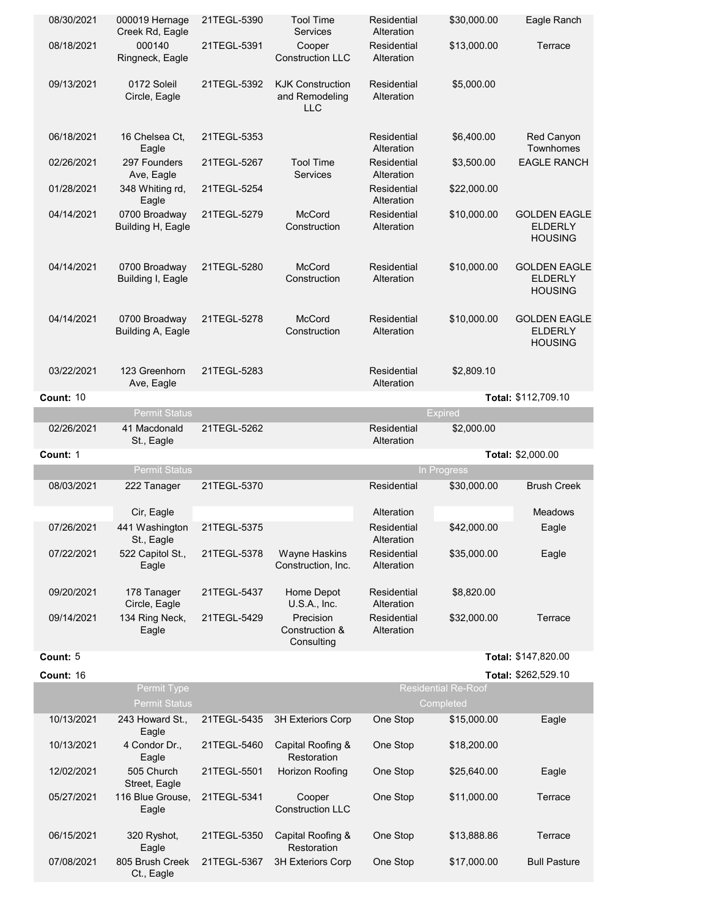| 08/30/2021 | 000019 Hernage<br>Creek Rd, Eagle         | 21TEGL-5390 | Tool Time<br><b>Services</b>                     | Residential<br>Alteration | \$30,000.00                             | Eagle Ranch                                             |
|------------|-------------------------------------------|-------------|--------------------------------------------------|---------------------------|-----------------------------------------|---------------------------------------------------------|
| 08/18/2021 | 000140<br>Ringneck, Eagle                 | 21TEGL-5391 | Cooper<br><b>Construction LLC</b>                | Residential<br>Alteration | \$13,000.00                             | Terrace                                                 |
| 09/13/2021 | 0172 Soleil<br>Circle, Eagle              | 21TEGL-5392 | <b>KJK Construction</b><br>and Remodeling<br>LLC | Residential<br>Alteration | \$5,000.00                              |                                                         |
| 06/18/2021 | 16 Chelsea Ct.<br>Eagle                   | 21TEGL-5353 |                                                  | Residential<br>Alteration | \$6,400.00                              | Red Canyon<br>Townhomes                                 |
| 02/26/2021 | 297 Founders<br>Ave, Eagle                | 21TEGL-5267 | <b>Tool Time</b><br><b>Services</b>              | Residential<br>Alteration | \$3,500.00                              | <b>EAGLE RANCH</b>                                      |
| 01/28/2021 | 348 Whiting rd,<br>Eagle                  | 21TEGL-5254 |                                                  | Residential<br>Alteration | \$22,000.00                             |                                                         |
| 04/14/2021 | 0700 Broadway<br>Building H, Eagle        | 21TEGL-5279 | <b>McCord</b><br>Construction                    | Residential<br>Alteration | \$10,000.00                             | <b>GOLDEN EAGLE</b><br><b>ELDERLY</b><br><b>HOUSING</b> |
| 04/14/2021 | 0700 Broadway<br>Building I, Eagle        | 21TEGL-5280 | <b>McCord</b><br>Construction                    | Residential<br>Alteration | \$10,000.00                             | <b>GOLDEN EAGLE</b><br><b>ELDERLY</b><br><b>HOUSING</b> |
| 04/14/2021 | 0700 Broadway<br><b>Building A. Eagle</b> | 21TEGL-5278 | <b>McCord</b><br>Construction                    | Residential<br>Alteration | \$10,000.00                             | <b>GOLDEN EAGLE</b><br><b>ELDERLY</b><br><b>HOUSING</b> |
| 03/22/2021 | 123 Greenhorn<br>Ave, Eagle               | 21TEGL-5283 |                                                  | Residential<br>Alteration | \$2,809.10                              |                                                         |
| Count: 10  |                                           |             |                                                  |                           |                                         | Total: \$112,709.10                                     |
|            | <b>Permit Status</b>                      |             |                                                  |                           | <b>Expired</b>                          |                                                         |
| 02/26/2021 | 41 Macdonald<br>St., Eagle                | 21TEGL-5262 |                                                  | Residential<br>Alteration | \$2,000.00                              |                                                         |
| Count: 1   |                                           |             |                                                  |                           |                                         | Total: \$2,000.00                                       |
|            | <b>Permit Status</b>                      |             |                                                  |                           | In Progress                             |                                                         |
| 08/03/2021 | 222 Tanager                               | 21TEGL-5370 |                                                  | Residential               | \$30,000.00                             | <b>Brush Creek</b>                                      |
|            | Cir, Eagle                                |             |                                                  | Alteration                |                                         | <b>Meadows</b>                                          |
| 07/26/2021 | 441 Washington<br>St., Eagle              | 21TEGL-5375 |                                                  | Residential<br>Alteration | \$42,000.00                             | Eagle                                                   |
| 07/22/2021 | 522 Capitol St.,<br>Eagle                 | 21TEGL-5378 | <b>Wayne Haskins</b><br>Construction, Inc.       | Residential<br>Alteration | \$35,000.00                             | Eagle                                                   |
| 09/20/2021 | 178 Tanager<br>Circle, Eagle              | 21TEGL-5437 | Home Depot<br>$U.S.A.,$ Inc.                     | Residential<br>Alteration | \$8,820.00                              |                                                         |
| 09/14/2021 | 134 Ring Neck,<br>Eagle                   | 21TEGL-5429 | Precision<br>Construction &<br>Consulting        | Residential<br>Alteration | \$32,000.00                             | Terrace                                                 |
| Count: 5   |                                           |             |                                                  |                           |                                         |                                                         |
| Count: 16  |                                           |             |                                                  |                           |                                         | Total: \$147,820.00                                     |
|            |                                           |             |                                                  |                           |                                         | Total: \$262,529.10                                     |
|            | Permit Type<br><b>Permit Status</b>       |             |                                                  |                           | <b>Residential Re-Roof</b><br>Completed |                                                         |
| 10/13/2021 | 243 Howard St.,<br>Eagle                  | 21TEGL-5435 | 3H Exteriors Corp                                | One Stop                  | \$15,000.00                             | Eagle                                                   |
| 10/13/2021 | 4 Condor Dr.,<br>Eagle                    | 21TEGL-5460 | Capital Roofing &<br>Restoration                 | One Stop                  | \$18,200.00                             |                                                         |
| 12/02/2021 | 505 Church<br>Street, Eagle               | 21TEGL-5501 | Horizon Roofing                                  | One Stop                  | \$25,640.00                             | Eagle                                                   |
| 05/27/2021 | 116 Blue Grouse,<br>Eagle                 | 21TEGL-5341 | Cooper<br><b>Construction LLC</b>                | One Stop                  | \$11,000.00                             | Terrace                                                 |
| 06/15/2021 | 320 Ryshot,<br>Eagle                      | 21TEGL-5350 | Capital Roofing &<br>Restoration                 | One Stop                  | \$13,888.86                             | Terrace                                                 |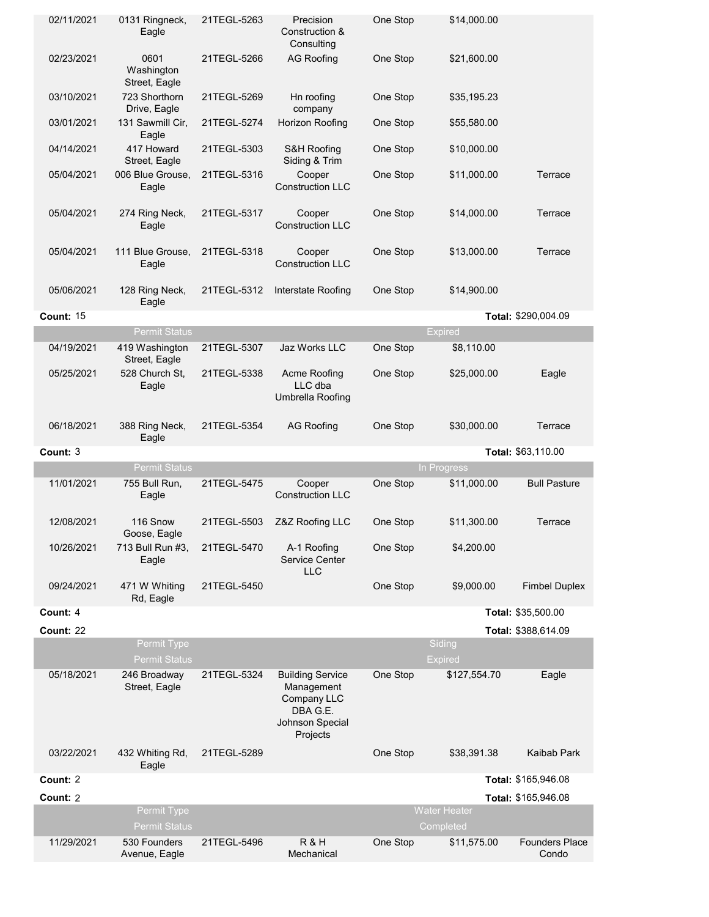|                  | 0131 Ringneck,<br>Eagle             | 21TEGL-5263 | Precision<br>Construction &<br>Consulting                                                       | One Stop | \$14,000.00                      |                      |
|------------------|-------------------------------------|-------------|-------------------------------------------------------------------------------------------------|----------|----------------------------------|----------------------|
| 02/23/2021       | 0601<br>Washington<br>Street, Eagle | 21TEGL-5266 | <b>AG Roofing</b>                                                                               | One Stop | \$21,600.00                      |                      |
| 03/10/2021       | 723 Shorthorn<br>Drive, Eagle       | 21TEGL-5269 | Hn roofing<br>company                                                                           | One Stop | \$35,195.23                      |                      |
| 03/01/2021       | 131 Sawmill Cir,<br>Eagle           | 21TEGL-5274 | Horizon Roofing                                                                                 | One Stop | \$55,580.00                      |                      |
| 04/14/2021       | 417 Howard<br>Street, Eagle         | 21TEGL-5303 | S&H Roofing<br>Siding & Trim                                                                    | One Stop | \$10,000.00                      |                      |
| 05/04/2021       | 006 Blue Grouse,<br>Eagle           | 21TEGL-5316 | Cooper<br><b>Construction LLC</b>                                                               | One Stop | \$11,000.00                      | Terrace              |
| 05/04/2021       | 274 Ring Neck,<br>Eagle             | 21TEGL-5317 | Cooper<br><b>Construction LLC</b>                                                               | One Stop | \$14,000.00                      | Terrace              |
| 05/04/2021       | 111 Blue Grouse,<br>Eagle           | 21TEGL-5318 | Cooper<br><b>Construction LLC</b>                                                               | One Stop | \$13,000.00                      | Terrace              |
| 05/06/2021       | 128 Ring Neck,<br>Eagle             | 21TEGL-5312 | Interstate Roofing                                                                              | One Stop | \$14,900.00                      |                      |
| <b>Count: 15</b> |                                     |             |                                                                                                 |          |                                  | Total: \$290,004.09  |
|                  | <b>Permit Status</b>                |             |                                                                                                 |          | <b>Expired</b>                   |                      |
| 04/19/2021       | 419 Washington<br>Street, Eagle     | 21TEGL-5307 | Jaz Works LLC                                                                                   | One Stop | \$8,110.00                       |                      |
| 05/25/2021       | 528 Church St.<br>Eagle             | 21TEGL-5338 | Acme Roofing<br>LLC dba<br>Umbrella Roofing                                                     | One Stop | \$25,000.00                      | Eagle                |
| 06/18/2021       | 388 Ring Neck,                      | 21TEGL-5354 | <b>AG Roofing</b>                                                                               | One Stop | \$30,000.00                      | Terrace              |
|                  | Eagle                               |             |                                                                                                 |          |                                  |                      |
| Count: 3         |                                     |             |                                                                                                 |          |                                  | Total: \$63,110.00   |
|                  | <b>Permit Status</b>                |             |                                                                                                 |          | In Progress                      |                      |
| 11/01/2021       | 755 Bull Run,<br>Eagle              | 21TEGL-5475 | Cooper<br><b>Construction LLC</b>                                                               | One Stop | \$11,000.00                      | <b>Bull Pasture</b>  |
| 12/08/2021       | 116 Snow<br>Goose, Eagle            | 21TEGL-5503 | Z&Z Roofing LLC                                                                                 | One Stop | \$11,300.00                      | Terrace              |
| 10/26/2021       | 713 Bull Run #3,<br>Eagle           | 21TEGL-5470 | A-1 Roofing<br>Service Center<br><b>LLC</b>                                                     | One Stop | \$4,200.00                       |                      |
| 09/24/2021       | 471 W Whiting<br>Rd, Eagle          | 21TEGL-5450 |                                                                                                 | One Stop | \$9,000.00                       | <b>Fimbel Duplex</b> |
| Count: 4         |                                     |             |                                                                                                 |          |                                  | Total: \$35,500.00   |
| <b>Count: 22</b> |                                     |             |                                                                                                 |          |                                  | Total: \$388,614.09  |
|                  | Permit Type<br><b>Permit Status</b> |             |                                                                                                 |          | Siding<br><b>Expired</b>         |                      |
| 05/18/2021       | 246 Broadway<br>Street, Eagle       | 21TEGL-5324 | <b>Building Service</b><br>Management<br>Company LLC<br>DBA G.E.<br>Johnson Special<br>Projects | One Stop | \$127,554.70                     | Eagle                |
| 03/22/2021       | 432 Whiting Rd,<br>Eagle            | 21TEGL-5289 |                                                                                                 | One Stop | \$38,391.38                      | Kaibab Park          |
| Count: 2         |                                     |             |                                                                                                 |          |                                  | Total: \$165,946.08  |
| Count: 2         |                                     |             |                                                                                                 |          |                                  | Total: \$165,946.08  |
|                  | Permit Type<br><b>Permit Status</b> |             |                                                                                                 |          | <b>Water Heater</b><br>Completed |                      |